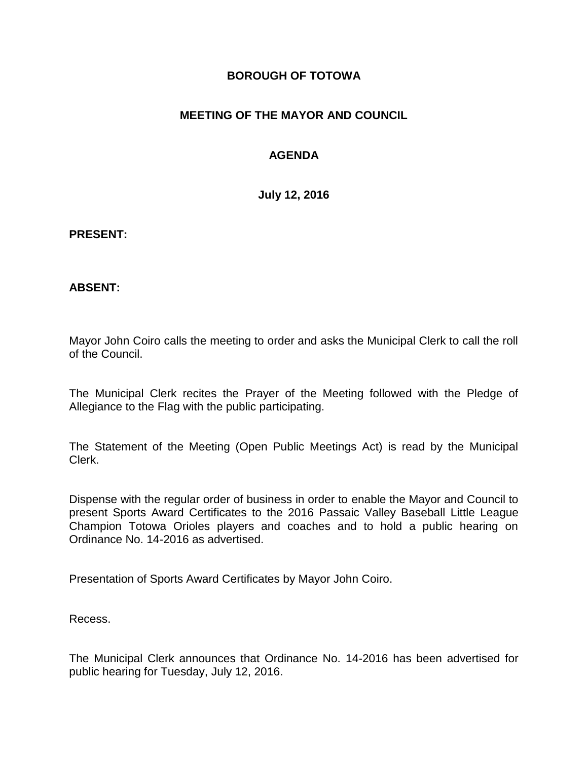## **BOROUGH OF TOTOWA**

## **MEETING OF THE MAYOR AND COUNCIL**

## **AGENDA**

**July 12, 2016**

#### **PRESENT:**

#### **ABSENT:**

Mayor John Coiro calls the meeting to order and asks the Municipal Clerk to call the roll of the Council.

The Municipal Clerk recites the Prayer of the Meeting followed with the Pledge of Allegiance to the Flag with the public participating.

The Statement of the Meeting (Open Public Meetings Act) is read by the Municipal Clerk.

Dispense with the regular order of business in order to enable the Mayor and Council to present Sports Award Certificates to the 2016 Passaic Valley Baseball Little League Champion Totowa Orioles players and coaches and to hold a public hearing on Ordinance No. 14-2016 as advertised.

Presentation of Sports Award Certificates by Mayor John Coiro.

Recess.

The Municipal Clerk announces that Ordinance No. 14-2016 has been advertised for public hearing for Tuesday, July 12, 2016.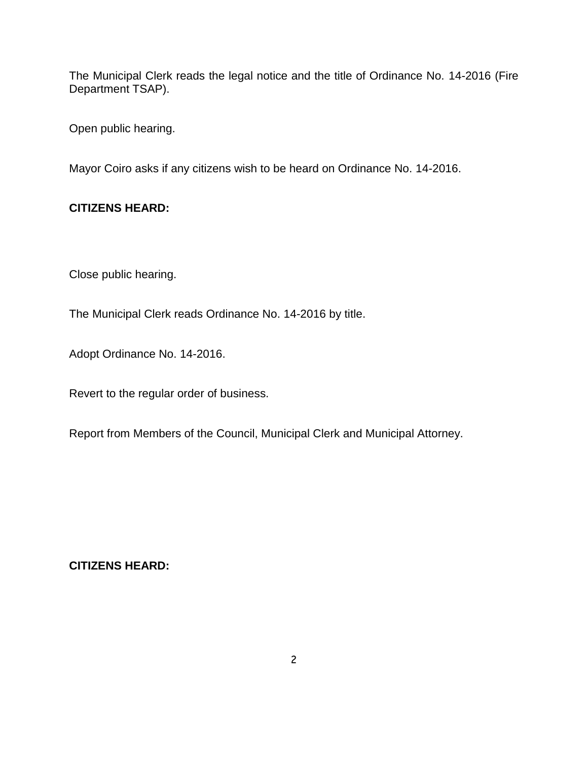The Municipal Clerk reads the legal notice and the title of Ordinance No. 14-2016 (Fire Department TSAP).

Open public hearing.

Mayor Coiro asks if any citizens wish to be heard on Ordinance No. 14-2016.

# **CITIZENS HEARD:**

Close public hearing.

The Municipal Clerk reads Ordinance No. 14-2016 by title.

Adopt Ordinance No. 14-2016.

Revert to the regular order of business.

Report from Members of the Council, Municipal Clerk and Municipal Attorney.

**CITIZENS HEARD:**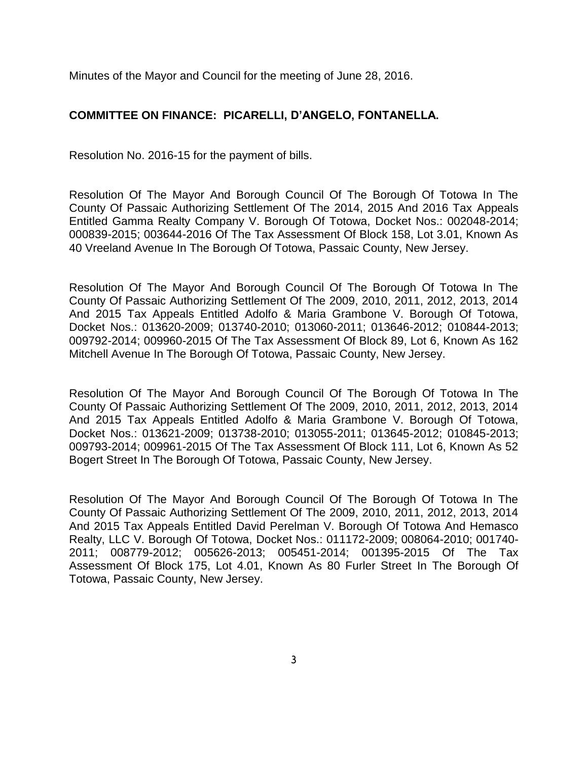Minutes of the Mayor and Council for the meeting of June 28, 2016.

## **COMMITTEE ON FINANCE: PICARELLI, D'ANGELO, FONTANELLA.**

Resolution No. 2016-15 for the payment of bills.

Resolution Of The Mayor And Borough Council Of The Borough Of Totowa In The County Of Passaic Authorizing Settlement Of The 2014, 2015 And 2016 Tax Appeals Entitled Gamma Realty Company V. Borough Of Totowa, Docket Nos.: 002048-2014; 000839-2015; 003644-2016 Of The Tax Assessment Of Block 158, Lot 3.01, Known As 40 Vreeland Avenue In The Borough Of Totowa, Passaic County, New Jersey.

Resolution Of The Mayor And Borough Council Of The Borough Of Totowa In The County Of Passaic Authorizing Settlement Of The 2009, 2010, 2011, 2012, 2013, 2014 And 2015 Tax Appeals Entitled Adolfo & Maria Grambone V. Borough Of Totowa, Docket Nos.: 013620-2009; 013740-2010; 013060-2011; 013646-2012; 010844-2013; 009792-2014; 009960-2015 Of The Tax Assessment Of Block 89, Lot 6, Known As 162 Mitchell Avenue In The Borough Of Totowa, Passaic County, New Jersey.

Resolution Of The Mayor And Borough Council Of The Borough Of Totowa In The County Of Passaic Authorizing Settlement Of The 2009, 2010, 2011, 2012, 2013, 2014 And 2015 Tax Appeals Entitled Adolfo & Maria Grambone V. Borough Of Totowa, Docket Nos.: 013621-2009; 013738-2010; 013055-2011; 013645-2012; 010845-2013; 009793-2014; 009961-2015 Of The Tax Assessment Of Block 111, Lot 6, Known As 52 Bogert Street In The Borough Of Totowa, Passaic County, New Jersey.

Resolution Of The Mayor And Borough Council Of The Borough Of Totowa In The County Of Passaic Authorizing Settlement Of The 2009, 2010, 2011, 2012, 2013, 2014 And 2015 Tax Appeals Entitled David Perelman V. Borough Of Totowa And Hemasco Realty, LLC V. Borough Of Totowa, Docket Nos.: 011172-2009; 008064-2010; 001740- 2011; 008779-2012; 005626-2013; 005451-2014; 001395-2015 Of The Tax Assessment Of Block 175, Lot 4.01, Known As 80 Furler Street In The Borough Of Totowa, Passaic County, New Jersey.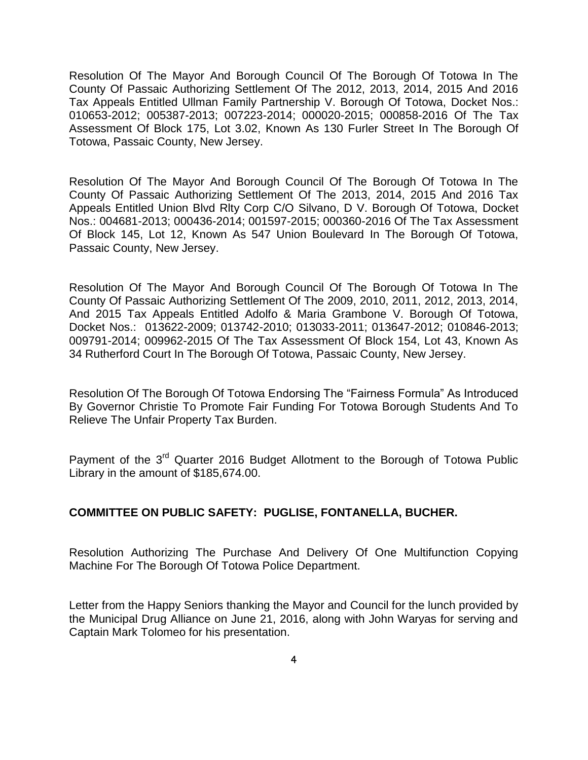Resolution Of The Mayor And Borough Council Of The Borough Of Totowa In The County Of Passaic Authorizing Settlement Of The 2012, 2013, 2014, 2015 And 2016 Tax Appeals Entitled Ullman Family Partnership V. Borough Of Totowa, Docket Nos.: 010653-2012; 005387-2013; 007223-2014; 000020-2015; 000858-2016 Of The Tax Assessment Of Block 175, Lot 3.02, Known As 130 Furler Street In The Borough Of Totowa, Passaic County, New Jersey.

Resolution Of The Mayor And Borough Council Of The Borough Of Totowa In The County Of Passaic Authorizing Settlement Of The 2013, 2014, 2015 And 2016 Tax Appeals Entitled Union Blvd Rlty Corp C/O Silvano, D V. Borough Of Totowa, Docket Nos.: 004681-2013; 000436-2014; 001597-2015; 000360-2016 Of The Tax Assessment Of Block 145, Lot 12, Known As 547 Union Boulevard In The Borough Of Totowa, Passaic County, New Jersey.

Resolution Of The Mayor And Borough Council Of The Borough Of Totowa In The County Of Passaic Authorizing Settlement Of The 2009, 2010, 2011, 2012, 2013, 2014, And 2015 Tax Appeals Entitled Adolfo & Maria Grambone V. Borough Of Totowa, Docket Nos.: 013622-2009; 013742-2010; 013033-2011; 013647-2012; 010846-2013; 009791-2014; 009962-2015 Of The Tax Assessment Of Block 154, Lot 43, Known As 34 Rutherford Court In The Borough Of Totowa, Passaic County, New Jersey.

Resolution Of The Borough Of Totowa Endorsing The "Fairness Formula" As Introduced By Governor Christie To Promote Fair Funding For Totowa Borough Students And To Relieve The Unfair Property Tax Burden.

Payment of the 3<sup>rd</sup> Quarter 2016 Budget Allotment to the Borough of Totowa Public Library in the amount of \$185,674.00.

#### **COMMITTEE ON PUBLIC SAFETY: PUGLISE, FONTANELLA, BUCHER.**

Resolution Authorizing The Purchase And Delivery Of One Multifunction Copying Machine For The Borough Of Totowa Police Department.

Letter from the Happy Seniors thanking the Mayor and Council for the lunch provided by the Municipal Drug Alliance on June 21, 2016, along with John Waryas for serving and Captain Mark Tolomeo for his presentation.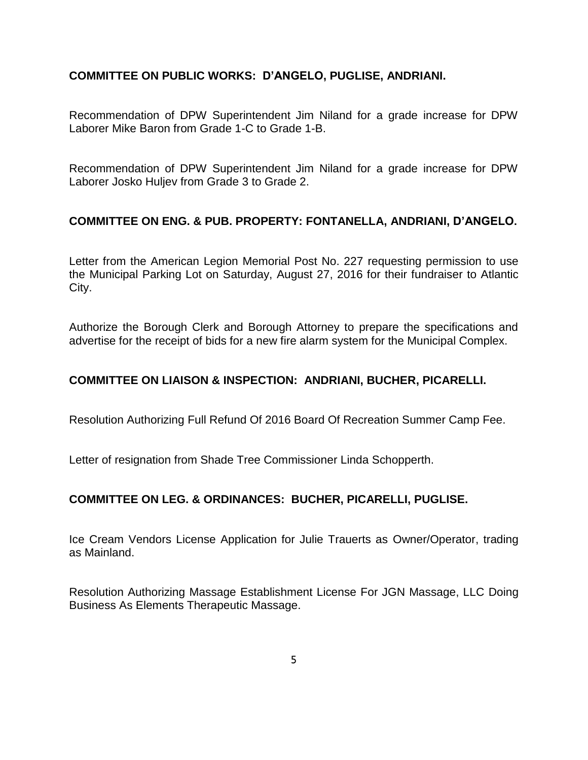### **COMMITTEE ON PUBLIC WORKS: D'ANGELO, PUGLISE, ANDRIANI.**

Recommendation of DPW Superintendent Jim Niland for a grade increase for DPW Laborer Mike Baron from Grade 1-C to Grade 1-B.

Recommendation of DPW Superintendent Jim Niland for a grade increase for DPW Laborer Josko Huljev from Grade 3 to Grade 2.

# **COMMITTEE ON ENG. & PUB. PROPERTY: FONTANELLA, ANDRIANI, D'ANGELO.**

Letter from the American Legion Memorial Post No. 227 requesting permission to use the Municipal Parking Lot on Saturday, August 27, 2016 for their fundraiser to Atlantic City.

Authorize the Borough Clerk and Borough Attorney to prepare the specifications and advertise for the receipt of bids for a new fire alarm system for the Municipal Complex.

### **COMMITTEE ON LIAISON & INSPECTION: ANDRIANI, BUCHER, PICARELLI.**

Resolution Authorizing Full Refund Of 2016 Board Of Recreation Summer Camp Fee.

Letter of resignation from Shade Tree Commissioner Linda Schopperth.

#### **COMMITTEE ON LEG. & ORDINANCES: BUCHER, PICARELLI, PUGLISE.**

Ice Cream Vendors License Application for Julie Trauerts as Owner/Operator, trading as Mainland.

Resolution Authorizing Massage Establishment License For JGN Massage, LLC Doing Business As Elements Therapeutic Massage.